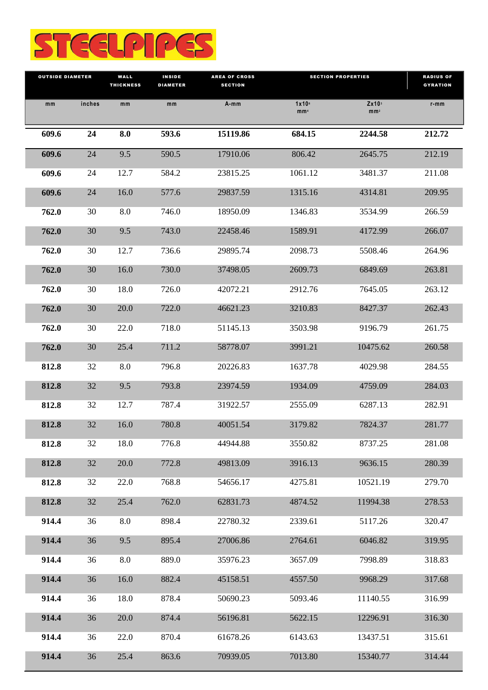

| <b>OUTSIDE DIAMETER</b> |        | WALL<br><b>THICKNESS</b> | <b>INSIDE</b><br><b>DIAMETER</b> | <b>AREA OF CROSS</b><br><b>SECTION</b> | <b>SECTION PROPERTIES</b>              |                                      | <b>RADIUS OF</b><br><b>GYRATION</b> |
|-------------------------|--------|--------------------------|----------------------------------|----------------------------------------|----------------------------------------|--------------------------------------|-------------------------------------|
| mm                      | inches | mm                       | mm                               | A-mm                                   | $1x10$ <sup>6</sup><br>mm <sup>4</sup> | Zx10 <sup>3</sup><br>mm <sub>2</sub> | $r$ -mm                             |
| 609.6                   | 24     | 8.0                      | 593.6                            | 15119.86                               | 684.15                                 | 2244.58                              | 212.72                              |
| 609.6                   | 24     | 9.5                      | 590.5                            | 17910.06                               | 806.42                                 | 2645.75                              | 212.19                              |
| 609.6                   | 24     | 12.7                     | 584.2                            | 23815.25                               | 1061.12                                | 3481.37                              | 211.08                              |
| 609.6                   | 24     | 16.0                     | 577.6                            | 29837.59                               | 1315.16                                | 4314.81                              | 209.95                              |
| 762.0                   | 30     | 8.0                      | 746.0                            | 18950.09                               | 1346.83                                | 3534.99                              | 266.59                              |
| 762.0                   | 30     | 9.5                      | 743.0                            | 22458.46                               | 1589.91                                | 4172.99                              | 266.07                              |
| 762.0                   | 30     | 12.7                     | 736.6                            | 29895.74                               | 2098.73                                | 5508.46                              | 264.96                              |
| 762.0                   | 30     | 16.0                     | 730.0                            | 37498.05                               | 2609.73                                | 6849.69                              | 263.81                              |
| 762.0                   | 30     | 18.0                     | 726.0                            | 42072.21                               | 2912.76                                | 7645.05                              | 263.12                              |
| 762.0                   | 30     | 20.0                     | 722.0                            | 46621.23                               | 3210.83                                | 8427.37                              | 262.43                              |
| 762.0                   | 30     | 22.0                     | 718.0                            | 51145.13                               | 3503.98                                | 9196.79                              | 261.75                              |
| 762.0                   | 30     | 25.4                     | 711.2                            | 58778.07                               | 3991.21                                | 10475.62                             | 260.58                              |
| 812.8                   | 32     | 8.0                      | 796.8                            | 20226.83                               | 1637.78                                | 4029.98                              | 284.55                              |
| 812.8                   | 32     | 9.5                      | 793.8                            | 23974.59                               | 1934.09                                | 4759.09                              | 284.03                              |
| 812.8                   | 32     | 12.7                     | 787.4                            | 31922.57                               | 2555.09                                | 6287.13                              | 282.91                              |
| 812.8                   | 32     | 16.0                     | 780.8                            | 40051.54                               | 3179.82                                | 7824.37                              | 281.77                              |
| 812.8                   | 32     | 18.0                     | 776.8                            | 44944.88                               | 3550.82                                | 8737.25                              | 281.08                              |
| 812.8                   | 32     | 20.0                     | 772.8                            | 49813.09                               | 3916.13                                | 9636.15                              | 280.39                              |
| 812.8                   | 32     | 22.0                     | 768.8                            | 54656.17                               | 4275.81                                | 10521.19                             | 279.70                              |
| 812.8                   | 32     | 25.4                     | 762.0                            | 62831.73                               | 4874.52                                | 11994.38                             | 278.53                              |
| 914.4                   | 36     | 8.0                      | 898.4                            | 22780.32                               | 2339.61                                | 5117.26                              | 320.47                              |
| 914.4                   | 36     | 9.5                      | 895.4                            | 27006.86                               | 2764.61                                | 6046.82                              | 319.95                              |
| 914.4                   | 36     | 8.0                      | 889.0                            | 35976.23                               | 3657.09                                | 7998.89                              | 318.83                              |
| 914.4                   | 36     | 16.0                     | 882.4                            | 45158.51                               | 4557.50                                | 9968.29                              | 317.68                              |
| 914.4                   | 36     | 18.0                     | 878.4                            | 50690.23                               | 5093.46                                | 11140.55                             | 316.99                              |
| 914.4                   | 36     | 20.0                     | 874.4                            | 56196.81                               | 5622.15                                | 12296.91                             | 316.30                              |
| 914.4                   | 36     | 22.0                     | 870.4                            | 61678.26                               | 6143.63                                | 13437.51                             | 315.61                              |
| 914.4                   | 36     | 25.4                     | 863.6                            | 70939.05                               | 7013.80                                | 15340.77                             | 314.44                              |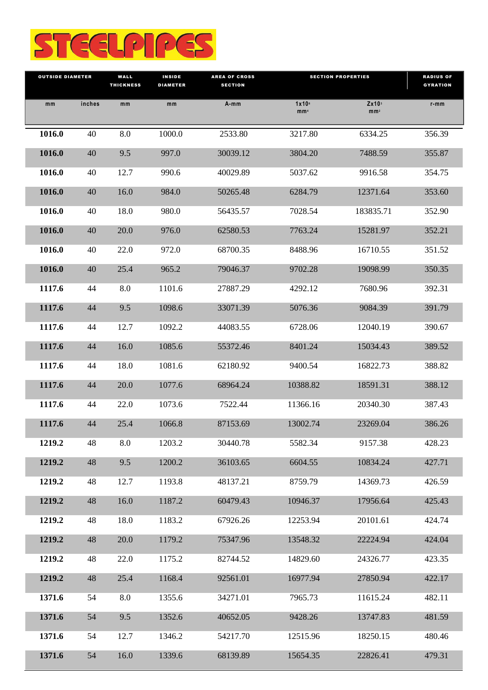

| <b>OUTSIDE DIAMETER</b> |        | WALL<br><b>THICKNESS</b> | <b>INSIDE</b><br><b>DIAMETER</b> | <b>AREA OF CROSS</b><br><b>SECTION</b> | <b>SECTION PROPERTIES</b>              |                                        | <b>RADIUS OF</b><br><b>GYRATION</b> |
|-------------------------|--------|--------------------------|----------------------------------|----------------------------------------|----------------------------------------|----------------------------------------|-------------------------------------|
| mm                      | inches | mm                       | mm                               | $A - mm$                               | $1x10$ <sup>6</sup><br>mm <sub>4</sub> | $Zx10$ <sup>3</sup><br>mm <sub>2</sub> | $r$ -mm                             |
| 1016.0                  | 40     | 8.0                      | 1000.0                           | 2533.80                                | 3217.80                                | 6334.25                                | 356.39                              |
| 1016.0                  | 40     | 9.5                      | 997.0                            | 30039.12                               | 3804.20                                | 7488.59                                | 355.87                              |
| 1016.0                  | 40     | 12.7                     | 990.6                            | 40029.89                               | 5037.62                                | 9916.58                                | 354.75                              |
| 1016.0                  | 40     | 16.0                     | 984.0                            | 50265.48                               | 6284.79                                | 12371.64                               | 353.60                              |
| 1016.0                  | 40     | 18.0                     | 980.0                            | 56435.57                               | 7028.54                                | 183835.71                              | 352.90                              |
| 1016.0                  | 40     | 20.0                     | 976.0                            | 62580.53                               | 7763.24                                | 15281.97                               | 352.21                              |
| 1016.0                  | 40     | 22.0                     | 972.0                            | 68700.35                               | 8488.96                                | 16710.55                               | 351.52                              |
| 1016.0                  | 40     | 25.4                     | 965.2                            | 79046.37                               | 9702.28                                | 19098.99                               | 350.35                              |
| 1117.6                  | 44     | 8.0                      | 1101.6                           | 27887.29                               | 4292.12                                | 7680.96                                | 392.31                              |
| 1117.6                  | 44     | 9.5                      | 1098.6                           | 33071.39                               | 5076.36                                | 9084.39                                | 391.79                              |
| 1117.6                  | 44     | 12.7                     | 1092.2                           | 44083.55                               | 6728.06                                | 12040.19                               | 390.67                              |
| 1117.6                  | 44     | 16.0                     | 1085.6                           | 55372.46                               | 8401.24                                | 15034.43                               | 389.52                              |
| 1117.6                  | 44     | 18.0                     | 1081.6                           | 62180.92                               | 9400.54                                | 16822.73                               | 388.82                              |
| 1117.6                  | 44     | 20.0                     | 1077.6                           | 68964.24                               | 10388.82                               | 18591.31                               | 388.12                              |
| 1117.6                  | 44     | 22.0                     | 1073.6                           | 7522.44                                | 11366.16                               | 20340.30                               | 387.43                              |
| 1117.6                  | 44     | 25.4                     | 1066.8                           | 87153.69                               | 13002.74                               | 23269.04                               | 386.26                              |
| 1219.2                  | 48     | 8.0                      | 1203.2                           | 30440.78                               | 5582.34                                | 9157.38                                | 428.23                              |
| 1219.2                  | 48     | 9.5                      | 1200.2                           | 36103.65                               | 6604.55                                | 10834.24                               | 427.71                              |
| 1219.2                  | 48     | 12.7                     | 1193.8                           | 48137.21                               | 8759.79                                | 14369.73                               | 426.59                              |
| 1219.2                  | 48     | 16.0                     | 1187.2                           | 60479.43                               | 10946.37                               | 17956.64                               | 425.43                              |
| 1219.2                  | 48     | 18.0                     | 1183.2                           | 67926.26                               | 12253.94                               | 20101.61                               | 424.74                              |
| 1219.2                  | 48     | 20.0                     | 1179.2                           | 75347.96                               | 13548.32                               | 22224.94                               | 424.04                              |
| 1219.2                  | 48     | 22.0                     | 1175.2                           | 82744.52                               | 14829.60                               | 24326.77                               | 423.35                              |
| 1219.2                  | 48     | 25.4                     | 1168.4                           | 92561.01                               | 16977.94                               | 27850.94                               | 422.17                              |
| 1371.6                  | 54     | 8.0                      | 1355.6                           | 34271.01                               | 7965.73                                | 11615.24                               | 482.11                              |
| 1371.6                  | 54     | 9.5                      | 1352.6                           | 40652.05                               | 9428.26                                | 13747.83                               | 481.59                              |
| 1371.6                  | 54     | 12.7                     | 1346.2                           | 54217.70                               | 12515.96                               | 18250.15                               | 480.46                              |
| 1371.6                  | 54     | 16.0                     | 1339.6                           | 68139.89                               | 15654.35                               | 22826.41                               | 479.31                              |